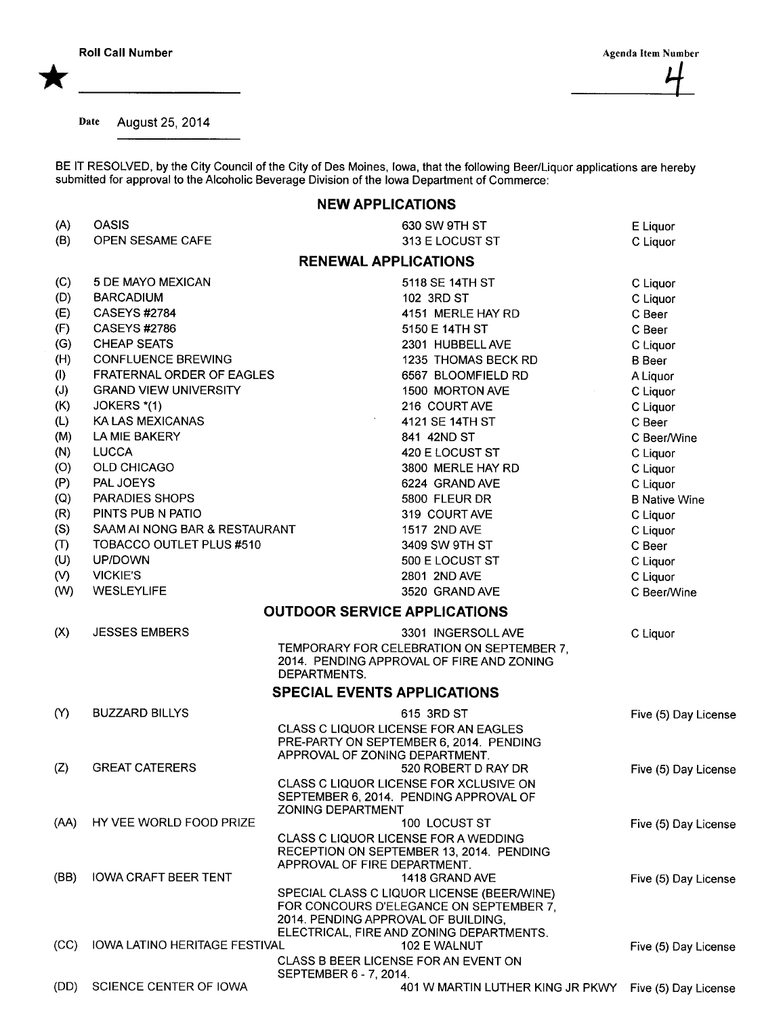Date August 25, 2014

BE IT RESOLVED, by the City Council of the City of Des Moines, Iowa, that the following Beer/Liquor applications are hereby submitted for approval to the Alcoholic Beverage Division of the Iowa Department of Commerce:

## NEW APPLICATIONS

| (A)      | <b>OASIS</b>                         | 630 SW 9TH ST                                                                                                                                                            | E Liquor             |
|----------|--------------------------------------|--------------------------------------------------------------------------------------------------------------------------------------------------------------------------|----------------------|
| (B)      | OPEN SESAME CAFE                     | 313 E LOCUST ST                                                                                                                                                          | C Liquor             |
|          |                                      | <b>RENEWAL APPLICATIONS</b>                                                                                                                                              |                      |
| (C)      | 5 DE MAYO MEXICAN                    | 5118 SE 14TH ST                                                                                                                                                          | C Liquor             |
| (D)      | <b>BARCADIUM</b>                     | 102 3RD ST                                                                                                                                                               | C Liquor             |
| (E)      | <b>CASEYS #2784</b>                  | 4151 MERLE HAY RD                                                                                                                                                        | C Beer               |
| (F)      | <b>CASEYS #2786</b>                  | 5150 E 14TH ST                                                                                                                                                           | C Beer               |
| (G)      | <b>CHEAP SEATS</b>                   | 2301 HUBBELL AVE                                                                                                                                                         | C Liquor             |
| (H)      | <b>CONFLUENCE BREWING</b>            | 1235 THOMAS BECK RD                                                                                                                                                      | <b>B</b> Beer        |
| (1)      | FRATERNAL ORDER OF EAGLES            | 6567 BLOOMFIELD RD                                                                                                                                                       | A Liquor             |
| (J)      | <b>GRAND VIEW UNIVERSITY</b>         | 1500 MORTON AVE                                                                                                                                                          | C Liquor             |
| (K)      | JOKERS *(1)                          | 216 COURT AVE                                                                                                                                                            | C Liquor             |
| (L)      | KA LAS MEXICANAS                     | 4121 SE 14TH ST                                                                                                                                                          | C Beer               |
| (M)      | LA MIE BAKERY                        | 841 42ND ST                                                                                                                                                              | C Beer/Wine          |
| (N)      | <b>LUCCA</b>                         | 420 E LOCUST ST                                                                                                                                                          | C Liquor             |
| (O)      | OLD CHICAGO                          | 3800 MERLE HAY RD                                                                                                                                                        | C Liquor             |
| (P)      | PAL JOEYS                            | 6224 GRAND AVE                                                                                                                                                           | C Liquor             |
| (Q)      | PARADIES SHOPS                       | 5800 FLEUR DR                                                                                                                                                            | <b>B Native Wine</b> |
| (R)      | PINTS PUB N PATIO                    | 319 COURT AVE                                                                                                                                                            | C Liquor             |
| (S)      | SAAM AI NONG BAR & RESTAURANT        | 1517 2ND AVE                                                                                                                                                             | C Liquor             |
| (T)      | TOBACCO OUTLET PLUS #510             | 3409 SW 9TH ST                                                                                                                                                           | C Beer               |
| (U)      | UP/DOWN                              | 500 E LOCUST ST                                                                                                                                                          | C Liquor             |
| (V)      | <b>VICKIE'S</b>                      | 2801 2ND AVE                                                                                                                                                             | C Liquor             |
| (W)      | <b>WESLEYLIFE</b>                    | 3520 GRAND AVE                                                                                                                                                           | C Beer/Wine          |
|          |                                      | <b>OUTDOOR SERVICE APPLICATIONS</b>                                                                                                                                      |                      |
| (X)      | <b>JESSES EMBERS</b>                 | 3301 INGERSOLL AVE                                                                                                                                                       | C Liquor             |
|          |                                      | TEMPORARY FOR CELEBRATION ON SEPTEMBER 7,<br>2014. PENDING APPROVAL OF FIRE AND ZONING<br>DEPARTMENTS.                                                                   |                      |
|          |                                      | <b>SPECIAL EVENTS APPLICATIONS</b>                                                                                                                                       |                      |
| $\infty$ | <b>BUZZARD BILLYS</b>                | 615 3RD ST                                                                                                                                                               | Five (5) Day License |
|          |                                      | CLASS C LIQUOR LICENSE FOR AN EAGLES                                                                                                                                     |                      |
|          |                                      | PRE-PARTY ON SEPTEMBER 6, 2014. PENDING                                                                                                                                  |                      |
|          |                                      | APPROVAL OF ZONING DEPARTMENT.                                                                                                                                           |                      |
| (Z)      | <b>GREAT CATERERS</b>                | 520 ROBERT D RAY DR                                                                                                                                                      | Five (5) Day License |
|          |                                      | CLASS C LIQUOR LICENSE FOR XCLUSIVE ON<br>SEPTEMBER 6, 2014. PENDING APPROVAL OF<br><b>ZONING DEPARTMENT</b>                                                             |                      |
| (AA)     | HY VEE WORLD FOOD PRIZE              | 100 LOCUST ST                                                                                                                                                            | Five (5) Day License |
|          |                                      | CLASS C LIQUOR LICENSE FOR A WEDDING<br>RECEPTION ON SEPTEMBER 13, 2014. PENDING                                                                                         |                      |
|          |                                      | APPROVAL OF FIRE DEPARTMENT.                                                                                                                                             |                      |
| (BB)     | <b>IOWA CRAFT BEER TENT</b>          | 1418 GRAND AVE                                                                                                                                                           | Five (5) Day License |
|          |                                      | SPECIAL CLASS C LIQUOR LICENSE (BEER/WINE)<br>FOR CONCOURS D'ELEGANCE ON SEPTEMBER 7,<br>2014. PENDING APPROVAL OF BUILDING,<br>ELECTRICAL, FIRE AND ZONING DEPARTMENTS. |                      |
| (CC)     | <b>IOWA LATINO HERITAGE FESTIVAL</b> | 102 E WALNUT<br>CLASS B BEER LICENSE FOR AN EVENT ON                                                                                                                     | Five (5) Day License |
| (DD)     | SCIENCE CENTER OF IOWA               | SEPTEMBER 6 - 7, 2014.<br>401 W MARTIN LUTHER KING JR PKWY                                                                                                               | Five (5) Day License |
|          |                                      |                                                                                                                                                                          |                      |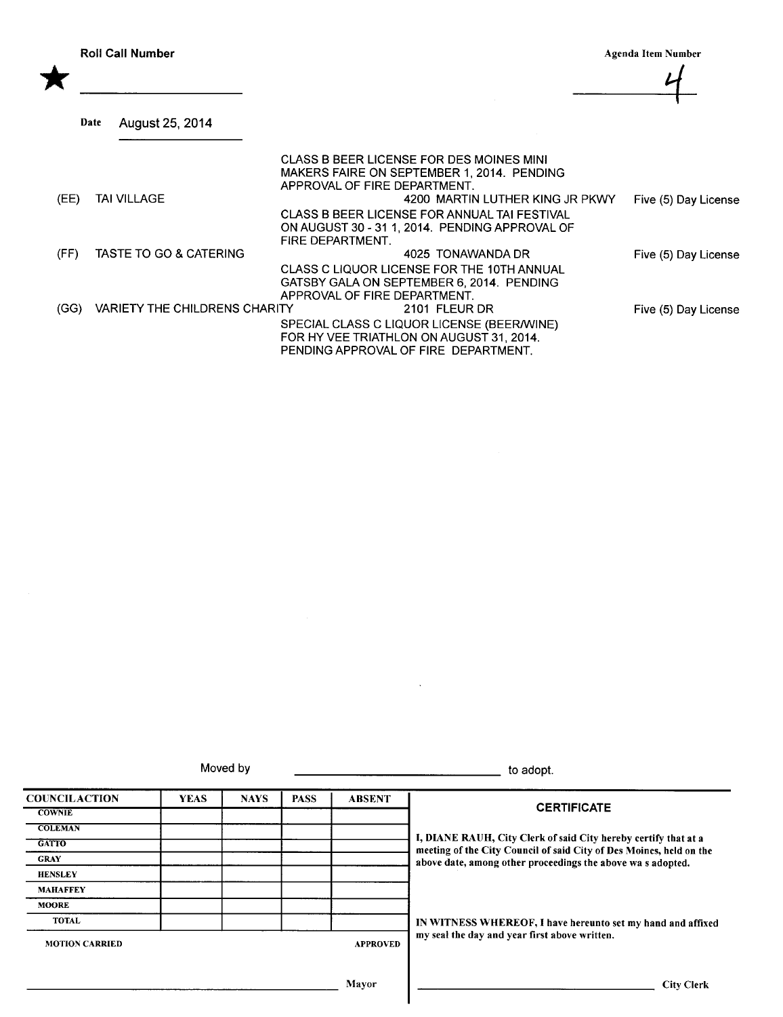Roll Call Number<br>
Agenda Item Number<br>
Agenda Item Number<br>
Agenda Item Number<br>
Agenda Item Number 1-

| (EE) | TAI VILLAGE                          | CLASS B BEER LICENSE FOR DES MOINES MINI<br>MAKERS FAIRE ON SEPTEMBER 1, 2014. PENDING<br>APPROVAL OF FIRE DEPARTMENT.<br>4200 MARTIN LUTHER KING JR PKWY |                      |
|------|--------------------------------------|-----------------------------------------------------------------------------------------------------------------------------------------------------------|----------------------|
|      |                                      | CLASS B BEER LICENSE FOR ANNUAL TAI FESTIVAL                                                                                                              | Five (5) Day License |
|      |                                      | ON AUGUST 30 - 31 1, 2014. PENDING APPROVAL OF                                                                                                            |                      |
|      |                                      | FIRE DEPARTMENT.                                                                                                                                          |                      |
| (FF) | TASTE TO GO & CATERING               | 4025 TONAWANDA DR                                                                                                                                         | Five (5) Day License |
|      |                                      | CLASS C LIQUOR LICENSE FOR THE 10TH ANNUAL                                                                                                                |                      |
|      |                                      | GATSBY GALA ON SEPTEMBER 6, 2014. PENDING                                                                                                                 |                      |
|      |                                      | APPROVAL OF FIRE DEPARTMENT.                                                                                                                              |                      |
| (GG) | <b>VARIETY THE CHILDRENS CHARITY</b> | 2101 FLEUR DR                                                                                                                                             | Five (5) Day License |
|      |                                      | SPECIAL CLASS C LIQUOR LICENSE (BEER/WINE)<br>FOR HY VEE TRIATHLON ON AUGUST 31, 2014.<br>PENDING APPROVAL OF FIRE DEPARTMENT.                            |                      |

Moved by to adopt.

| <b>COUNCILACTION</b>  | <b>YEAS</b> | <b>NAYS</b> | <b>PASS</b> | <b>ABSENT</b>   |                                                                                                                                        |  |
|-----------------------|-------------|-------------|-------------|-----------------|----------------------------------------------------------------------------------------------------------------------------------------|--|
| <b>COWNIE</b>         |             |             |             |                 | <b>CERTIFICATE</b>                                                                                                                     |  |
| <b>COLEMAN</b>        |             |             |             |                 |                                                                                                                                        |  |
| <b>GATTO</b>          |             |             |             |                 | I, DIANE RAUH, City Clerk of said City hereby certify that at a<br>meeting of the City Council of said City of Des Moines, held on the |  |
| <b>GRAY</b>           |             |             |             |                 | above date, among other proceedings the above was adopted.                                                                             |  |
| <b>HENSLEY</b>        |             |             |             |                 |                                                                                                                                        |  |
| <b>MAHAFFEY</b>       |             |             |             |                 |                                                                                                                                        |  |
| <b>MOORE</b>          |             |             |             |                 |                                                                                                                                        |  |
| <b>TOTAL</b>          |             |             |             |                 | IN WITNESS WHEREOF, I have hereunto set my hand and affixed                                                                            |  |
| <b>MOTION CARRIED</b> |             |             |             | <b>APPROVED</b> | my seal the day and year first above written.                                                                                          |  |
|                       |             |             |             | Mayor           | <b>City Clerk</b>                                                                                                                      |  |